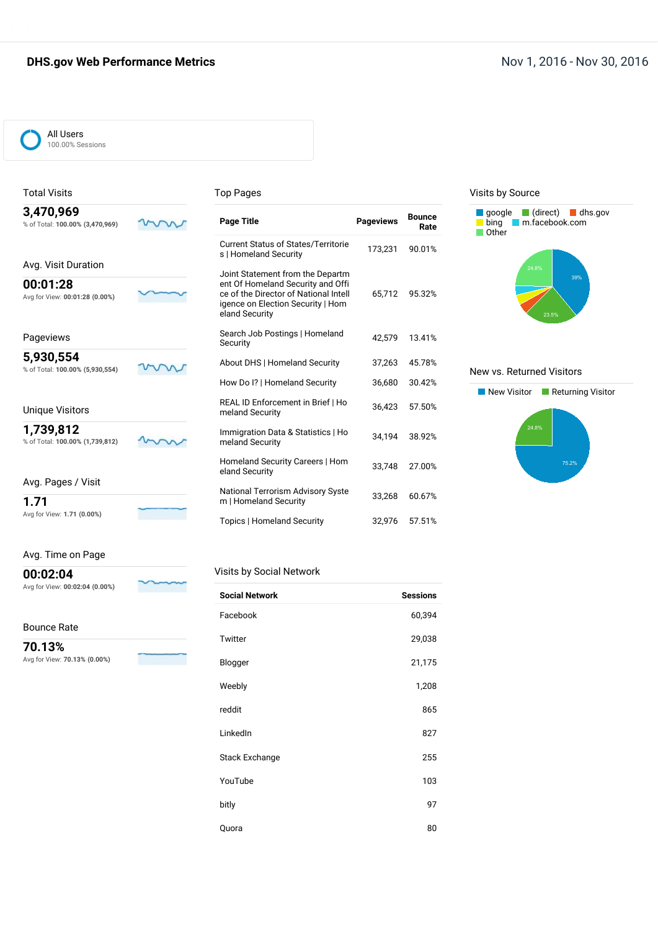## **DHS.gov Web Performance Metrics Nov 1, 2016 - Nov 30, 2016**



Total Visits

#### Top Pages

| 3,470,969<br>% of Total: 100.00% (3,470,969)                      | <b>Page Title</b>                                                                                                                                                     | <b>Pageviews</b> | <b>Bounce</b><br>Rate |
|-------------------------------------------------------------------|-----------------------------------------------------------------------------------------------------------------------------------------------------------------------|------------------|-----------------------|
|                                                                   | Current Status of States/Territorie<br>s   Homeland Security                                                                                                          | 173,231          | 90.01%                |
| Avg. Visit Duration<br>00:01:28<br>Avg for View: 00:01:28 (0.00%) | Joint Statement from the Departm<br>ent Of Homeland Security and Offi<br>ce of the Director of National Intell<br>igence on Election Security   Hom<br>eland Security | 65.712           | 95.32%                |
| Pageviews                                                         | Search Job Postings   Homeland<br>Security                                                                                                                            | 42.579           | 13.41%                |
| 5,930,554<br>% of Total: 100.00% (5,930,554)                      | About DHS   Homeland Security                                                                                                                                         | 37,263           | 45.78%                |
|                                                                   | How Do I?   Homeland Security                                                                                                                                         | 36,680           | 30.42%                |
| <b>Unique Visitors</b>                                            | REAL ID Enforcement in Brief   Ho<br>meland Security                                                                                                                  | 36,423           | 57.50%                |
| 1,739,812<br>% of Total: 100.00% (1,739,812)                      | Immigration Data & Statistics   Ho<br>meland Security                                                                                                                 | 34.194           | 38.92%                |
|                                                                   | Homeland Security Careers   Hom<br>eland Security                                                                                                                     | 33,748           | 27.00%                |
| Avg. Pages / Visit<br>1.71                                        | <b>National Terrorism Advisory Syste</b><br>m   Homeland Security                                                                                                     | 33,268           | 60.67%                |
| Avg for View: 1.71 (0.00%)                                        | Topics   Homeland Security                                                                                                                                            | 32.976           | 57.51%                |

## Avg. Time on Page

**00:02:04** Avg for View: **00:02:04 (0.00%)**

Bounce Rate

 $\sim$ 

**Service** 

**70.13%** Avg for View: **70.13% (0.00%)**

| <b>Social Network</b> | <b>Sessions</b> |
|-----------------------|-----------------|
| Facebook              | 60,394          |
| Twitter               | 29,038          |
| Blogger               | 21,175          |
| Weebly                | 1,208           |
| reddit                | 865             |
| LinkedIn              | 827             |
| <b>Stack Exchange</b> | 255             |
| YouTube               | 103             |
| bitly                 | 97              |
| Quora                 | 80              |

#### Visits by Source



#### New vs. Returned Visitors

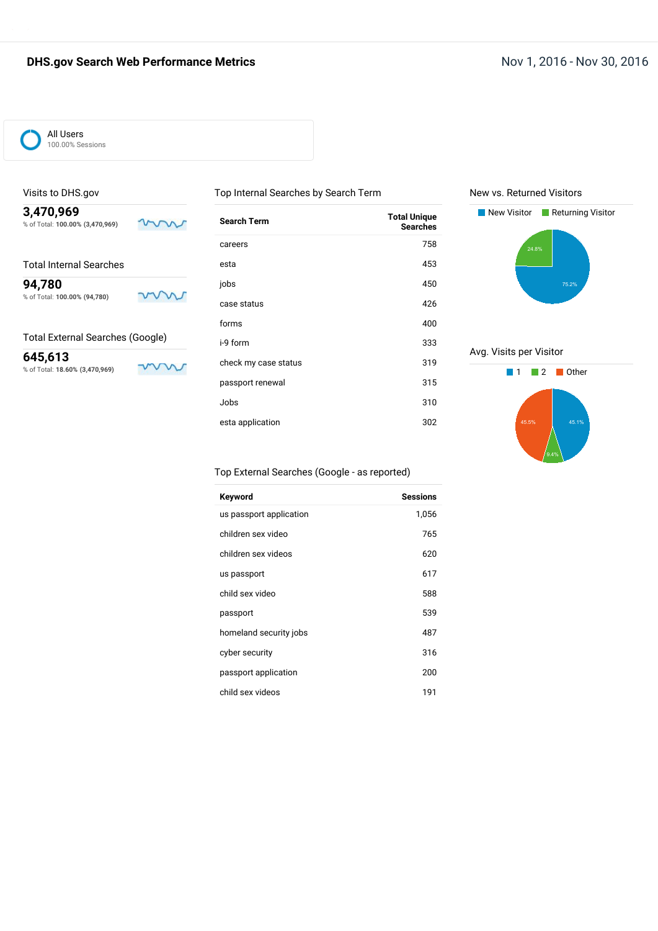

### Visits to DHS.gov

**3,470,969** % of Total: **100.00% (3,470,969)**

Total Internal Searches

**94,780** % of Total: **100.00% (94,780)**

Total External Searches (Google)

**645,613** % of Total: **18.60% (3,470,969)**

m

mm

mw

| Search Term          | <b>Total Unique</b><br><b>Searches</b> |
|----------------------|----------------------------------------|
| careers              | 758                                    |
| esta                 | 453                                    |
| iobs                 | 450                                    |
| case status          | 426                                    |
| forms                | 400                                    |
| i-9 form             | 333                                    |
| check my case status | 319                                    |
| passport renewal     | 315                                    |
| Jobs                 | 310                                    |
| esta application     | 302                                    |

Top Internal Searches by Search Term

#### New vs. Returned Visitors



Avg. Visits per Visitor



#### Top External Searches (Google - as reported)

| Keyword                 | <b>Sessions</b> |
|-------------------------|-----------------|
| us passport application | 1,056           |
| children sex video      | 765             |
| children sex videos     | 620             |
| us passport             | 617             |
| child sex video         | 588             |
| passport                | 539             |
| homeland security jobs  | 487             |
| cyber security          | 316             |
| passport application    | 200             |
| child sex videos        | 191             |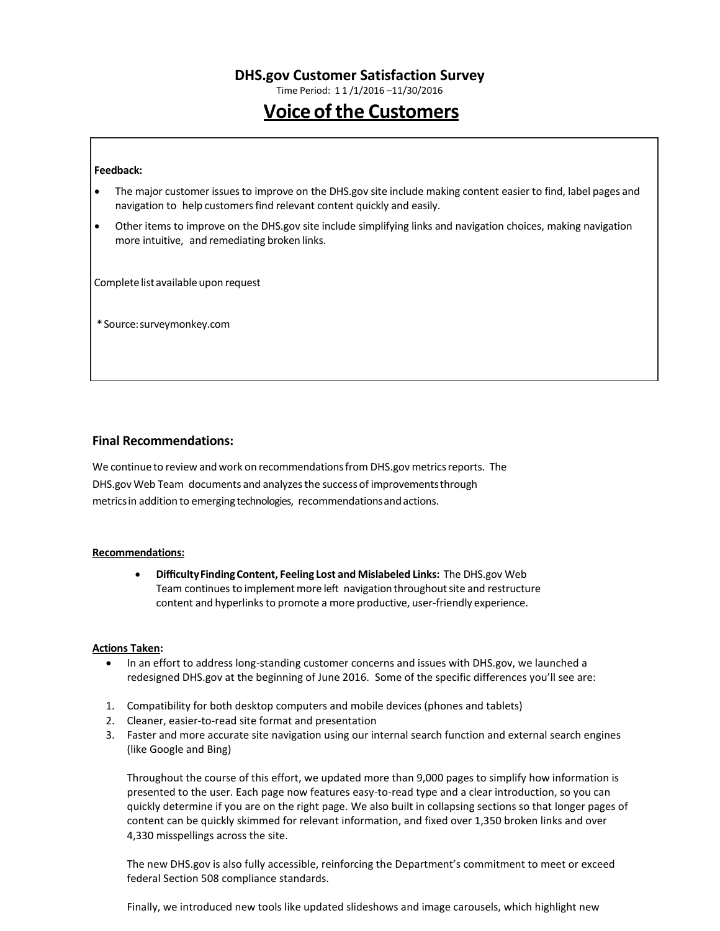Time Period: 1 1 /1/2016 –11/30/2016

# **Voice of the Customers**

#### **Feedback:**

- The major customer issuesto improve on the DHS.gov site include making content easier to find, label pages and navigation to help customers find relevant content quickly and easily.
- Other items to improve on the DHS.gov site include simplifying links and navigation choices, making navigation more intuitive, and remediating broken links.

Complete list available upon request

\*Source:surveymonkey.com

#### **Final Recommendations:**

We continue to review and work on recommendations from DHS.gov metrics reports. The DHS.gov Web Team documents and analyzesthe success of improvementsthrough metricsin addition to emerging technologies, recommendationsandactions.

#### **Recommendations:**

 **DifficultyFindingContent, Feeling Lost and Mislabeled Links:** The DHS.gov Web Team continues to implement more left navigation throughout site and restructure content and hyperlinks to promote a more productive, user-friendly experience.

#### **Actions Taken:**

- In an effort to address long-standing customer concerns and issues with DHS.gov, we launched a redesigned DHS.gov at the beginning of June 2016. Some of the specific differences you'll see are:
- 1. Compatibility for both desktop computers and mobile devices (phones and tablets)
- 2. Cleaner, easier-to-read site format and presentation
- 3. Faster and more accurate site navigation using our internal search function and external search engines (like Google and Bing)

Throughout the course of this effort, we updated more than 9,000 pages to simplify how information is presented to the user. Each page now features easy-to-read type and a clear introduction, so you can quickly determine if you are on the right page. We also built in collapsing sections so that longer pages of content can be quickly skimmed for relevant information, and fixed over 1,350 broken links and over 4,330 misspellings across the site.

The new DHS.gov is also fully accessible, reinforcing the Department's commitment to meet or exceed federal Section 508 compliance standards.

Finally, we introduced new tools like updated slideshows and image carousels, which highlight new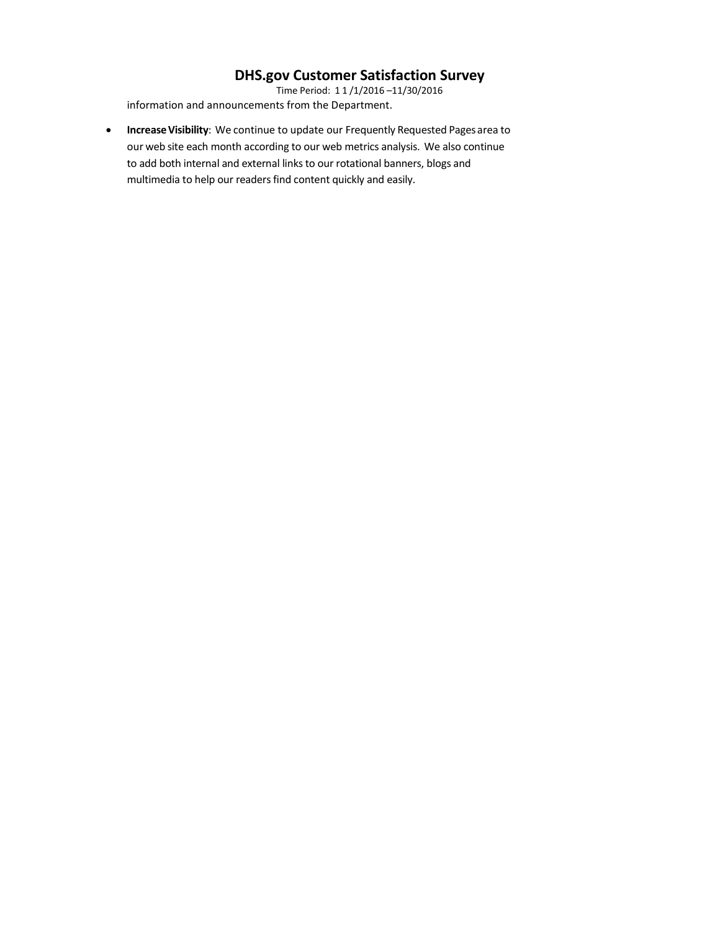Time Period: 1 1 /1/2016 –11/30/2016 information and announcements from the Department.

**Increase Visibility**: We continue to update our Frequently Requested Pages area to our web site each month according to our web metrics analysis. We also continue to add both internal and external links to our rotational banners, blogs and multimedia to help our readers find content quickly and easily.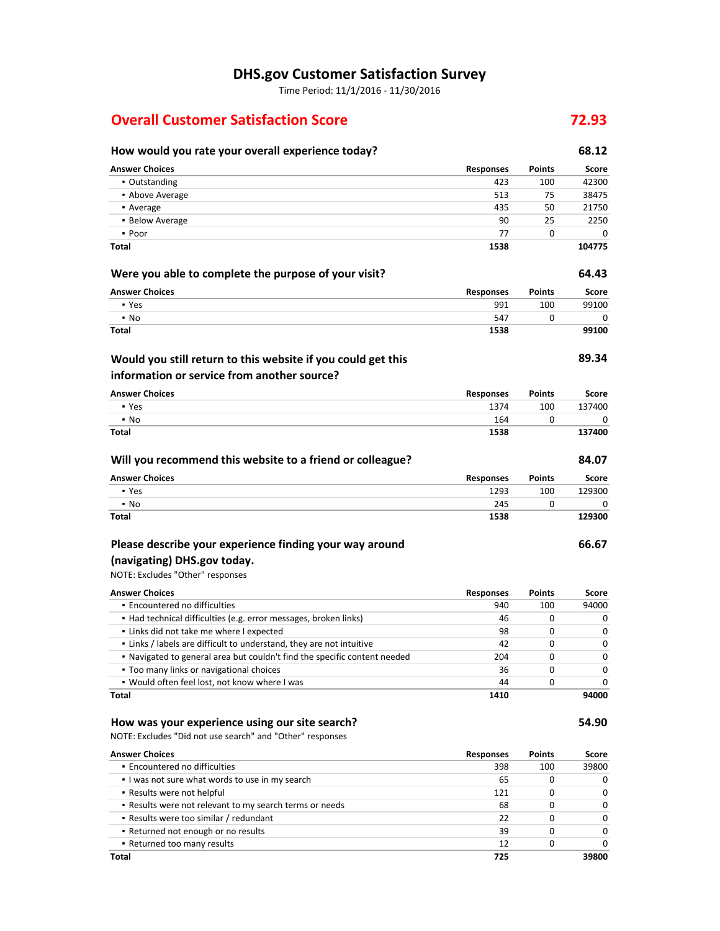Time Period: 11/1/2016 - 11/30/2016

## **Overall Customer Satisfaction Score 72.93**

## **How would you rate your overall experience today? 68.12 Answer Choices Responses Points Score** ▪ Outstanding 423 100 42300 ■ Above Average 513 58475 75 38475 **•** Average 21750 **21750** ▪ Below Average 90 25 2250 ▪ Poor 77 0 0 **Total 1538 104775 Were you able to complete the purpose of your visit? 64.43 Answer Choices Responses Points Score** ▪ Yes 991 100 99100 ▪ No 547 0 0 **Total 1538 99100 89.34 Answer Choices Responses Points Score** ▪ Yes 1374 100 137400 ▪ No 164 0 0 **Total 1538 137400 Will you recommend this website to a friend or colleague? 84.07 Answer Choices Responses Points Score** ▪ Yes 1293 100 129300 ▪ No 245 0 0 **Total 1538 129300 Would you still return to this website if you could get this information or service from another source?**

## **Please describe your experience finding your way around**

## **(navigating) DHS.gov today.**

NOTE: Excludes "Other" responses

| <b>Answer Choices</b>                                                     | <b>Responses</b> | <b>Points</b> | Score |
|---------------------------------------------------------------------------|------------------|---------------|-------|
| • Encountered no difficulties                                             | 940              | 100           | 94000 |
| • Had technical difficulties (e.g. error messages, broken links)          | 46               | 0             | O     |
| . Links did not take me where I expected                                  | 98               | 0             | ŋ     |
| . Links / labels are difficult to understand, they are not intuitive      | 42               | 0             | O     |
| . Navigated to general area but couldn't find the specific content needed | 204              | 0             | O     |
| • Too many links or navigational choices                                  | 36               | <sup>0</sup>  | O     |
| . Would often feel lost, not know where I was                             | 44               | 0             |       |
| Total                                                                     | 1410             |               | 94000 |

#### **How was your experience using our site search? 54.90**

NOTE: Excludes "Did not use search" and "Other" responses

| <b>Answer Choices</b>                                   | <b>Responses</b> | <b>Points</b> | Score        |
|---------------------------------------------------------|------------------|---------------|--------------|
| • Encountered no difficulties                           | 398              | 100           | 39800        |
| I was not sure what words to use in my search           | 65               |               | 0            |
| • Results were not helpful                              | 121              |               | <sup>0</sup> |
| . Results were not relevant to my search terms or needs | 68               |               | 0            |
| • Results were too similar / redundant                  | 22               |               | $\Omega$     |
| • Returned not enough or no results                     | 39               |               | $\Omega$     |
| • Returned too many results                             | 12               |               | <sup>0</sup> |
| <b>Total</b>                                            | 725              |               | 39800        |

**66.67**